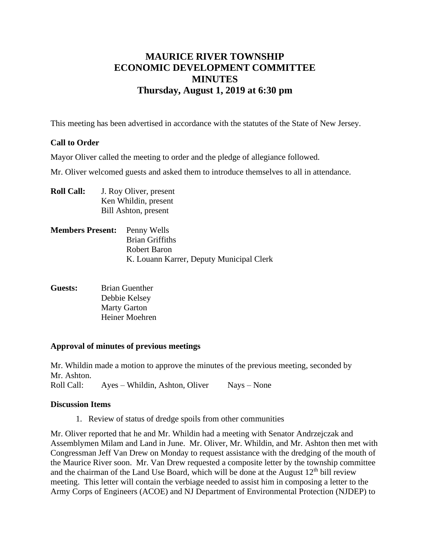# **MAURICE RIVER TOWNSHIP ECONOMIC DEVELOPMENT COMMITTEE MINUTES Thursday, August 1, 2019 at 6:30 pm**

This meeting has been advertised in accordance with the statutes of the State of New Jersey.

# **Call to Order**

Mayor Oliver called the meeting to order and the pledge of allegiance followed.

Mr. Oliver welcomed guests and asked them to introduce themselves to all in attendance.

- **Roll Call:** J. Roy Oliver, present Ken Whildin, present Bill Ashton, present
- **Members Present:** Penny Wells Brian Griffiths Robert Baron K. Louann Karrer, Deputy Municipal Clerk
- **Guests:** Brian Guenther Debbie Kelsey Marty Garton Heiner Moehren

#### **Approval of minutes of previous meetings**

Mr. Whildin made a motion to approve the minutes of the previous meeting, seconded by Mr. Ashton. Roll Call: Ayes – Whildin, Ashton, Oliver Nays – None

#### **Discussion Items**

1. Review of status of dredge spoils from other communities

Mr. Oliver reported that he and Mr. Whildin had a meeting with Senator Andrzejczak and Assemblymen Milam and Land in June. Mr. Oliver, Mr. Whildin, and Mr. Ashton then met with Congressman Jeff Van Drew on Monday to request assistance with the dredging of the mouth of the Maurice River soon. Mr. Van Drew requested a composite letter by the township committee and the chairman of the Land Use Board, which will be done at the August  $12<sup>th</sup>$  bill review meeting. This letter will contain the verbiage needed to assist him in composing a letter to the Army Corps of Engineers (ACOE) and NJ Department of Environmental Protection (NJDEP) to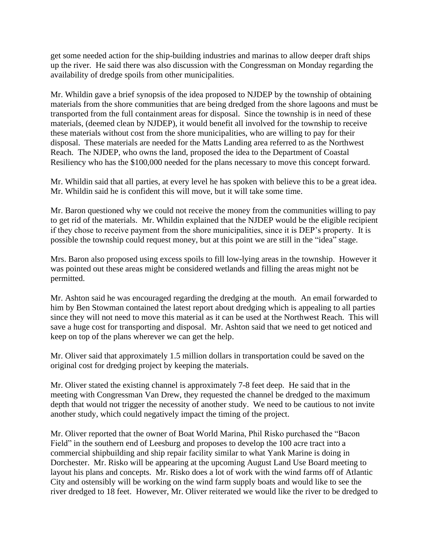get some needed action for the ship-building industries and marinas to allow deeper draft ships up the river. He said there was also discussion with the Congressman on Monday regarding the availability of dredge spoils from other municipalities.

Mr. Whildin gave a brief synopsis of the idea proposed to NJDEP by the township of obtaining materials from the shore communities that are being dredged from the shore lagoons and must be transported from the full containment areas for disposal. Since the township is in need of these materials, (deemed clean by NJDEP), it would benefit all involved for the township to receive these materials without cost from the shore municipalities, who are willing to pay for their disposal. These materials are needed for the Matts Landing area referred to as the Northwest Reach. The NJDEP, who owns the land, proposed the idea to the Department of Coastal Resiliency who has the \$100,000 needed for the plans necessary to move this concept forward.

Mr. Whildin said that all parties, at every level he has spoken with believe this to be a great idea. Mr. Whildin said he is confident this will move, but it will take some time.

Mr. Baron questioned why we could not receive the money from the communities willing to pay to get rid of the materials. Mr. Whildin explained that the NJDEP would be the eligible recipient if they chose to receive payment from the shore municipalities, since it is DEP's property. It is possible the township could request money, but at this point we are still in the "idea" stage.

Mrs. Baron also proposed using excess spoils to fill low-lying areas in the township. However it was pointed out these areas might be considered wetlands and filling the areas might not be permitted.

Mr. Ashton said he was encouraged regarding the dredging at the mouth. An email forwarded to him by Ben Stowman contained the latest report about dredging which is appealing to all parties since they will not need to move this material as it can be used at the Northwest Reach. This will save a huge cost for transporting and disposal. Mr. Ashton said that we need to get noticed and keep on top of the plans wherever we can get the help.

Mr. Oliver said that approximately 1.5 million dollars in transportation could be saved on the original cost for dredging project by keeping the materials.

Mr. Oliver stated the existing channel is approximately 7-8 feet deep. He said that in the meeting with Congressman Van Drew, they requested the channel be dredged to the maximum depth that would not trigger the necessity of another study. We need to be cautious to not invite another study, which could negatively impact the timing of the project.

Mr. Oliver reported that the owner of Boat World Marina, Phil Risko purchased the "Bacon Field" in the southern end of Leesburg and proposes to develop the 100 acre tract into a commercial shipbuilding and ship repair facility similar to what Yank Marine is doing in Dorchester. Mr. Risko will be appearing at the upcoming August Land Use Board meeting to layout his plans and concepts. Mr. Risko does a lot of work with the wind farms off of Atlantic City and ostensibly will be working on the wind farm supply boats and would like to see the river dredged to 18 feet. However, Mr. Oliver reiterated we would like the river to be dredged to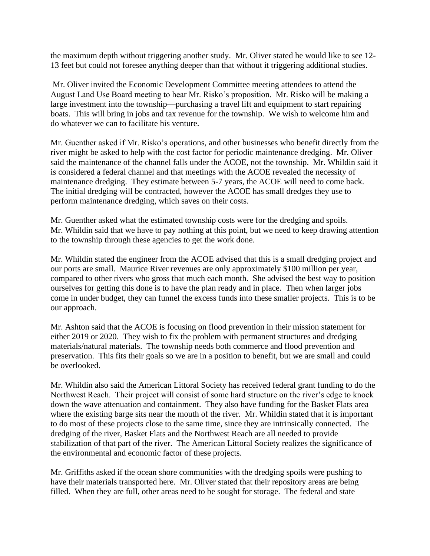the maximum depth without triggering another study. Mr. Oliver stated he would like to see 12- 13 feet but could not foresee anything deeper than that without it triggering additional studies.

Mr. Oliver invited the Economic Development Committee meeting attendees to attend the August Land Use Board meeting to hear Mr. Risko's proposition. Mr. Risko will be making a large investment into the township—purchasing a travel lift and equipment to start repairing boats. This will bring in jobs and tax revenue for the township. We wish to welcome him and do whatever we can to facilitate his venture.

Mr. Guenther asked if Mr. Risko's operations, and other businesses who benefit directly from the river might be asked to help with the cost factor for periodic maintenance dredging. Mr. Oliver said the maintenance of the channel falls under the ACOE, not the township. Mr. Whildin said it is considered a federal channel and that meetings with the ACOE revealed the necessity of maintenance dredging. They estimate between 5-7 years, the ACOE will need to come back. The initial dredging will be contracted, however the ACOE has small dredges they use to perform maintenance dredging, which saves on their costs.

Mr. Guenther asked what the estimated township costs were for the dredging and spoils. Mr. Whildin said that we have to pay nothing at this point, but we need to keep drawing attention to the township through these agencies to get the work done.

Mr. Whildin stated the engineer from the ACOE advised that this is a small dredging project and our ports are small. Maurice River revenues are only approximately \$100 million per year, compared to other rivers who gross that much each month. She advised the best way to position ourselves for getting this done is to have the plan ready and in place. Then when larger jobs come in under budget, they can funnel the excess funds into these smaller projects. This is to be our approach.

Mr. Ashton said that the ACOE is focusing on flood prevention in their mission statement for either 2019 or 2020. They wish to fix the problem with permanent structures and dredging materials/natural materials. The township needs both commerce and flood prevention and preservation. This fits their goals so we are in a position to benefit, but we are small and could be overlooked.

Mr. Whildin also said the American Littoral Society has received federal grant funding to do the Northwest Reach. Their project will consist of some hard structure on the river's edge to knock down the wave attenuation and containment. They also have funding for the Basket Flats area where the existing barge sits near the mouth of the river. Mr. Whildin stated that it is important to do most of these projects close to the same time, since they are intrinsically connected. The dredging of the river, Basket Flats and the Northwest Reach are all needed to provide stabilization of that part of the river. The American Littoral Society realizes the significance of the environmental and economic factor of these projects.

Mr. Griffiths asked if the ocean shore communities with the dredging spoils were pushing to have their materials transported here. Mr. Oliver stated that their repository areas are being filled. When they are full, other areas need to be sought for storage. The federal and state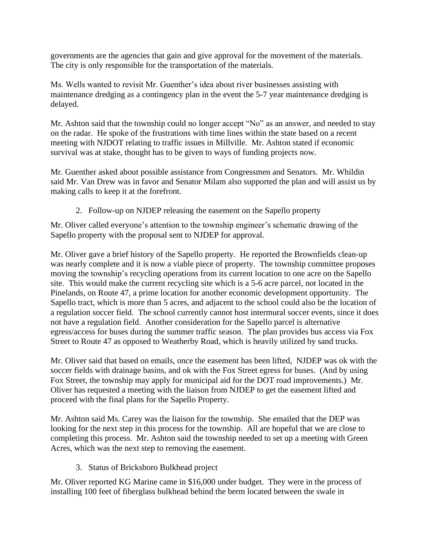governments are the agencies that gain and give approval for the movement of the materials. The city is only responsible for the transportation of the materials.

Ms. Wells wanted to revisit Mr. Guenther's idea about river businesses assisting with maintenance dredging as a contingency plan in the event the 5-7 year maintenance dredging is delayed.

Mr. Ashton said that the township could no longer accept "No" as an answer, and needed to stay on the radar. He spoke of the frustrations with time lines within the state based on a recent meeting with NJDOT relating to traffic issues in Millville. Mr. Ashton stated if economic survival was at stake, thought has to be given to ways of funding projects now.

Mr. Guenther asked about possible assistance from Congressmen and Senators. Mr. Whildin said Mr. Van Drew was in favor and Senator Milam also supported the plan and will assist us by making calls to keep it at the forefront.

2. Follow-up on NJDEP releasing the easement on the Sapello property

Mr. Oliver called everyone's attention to the township engineer's schematic drawing of the Sapello property with the proposal sent to NJDEP for approval.

Mr. Oliver gave a brief history of the Sapello property. He reported the Brownfields clean-up was nearly complete and it is now a viable piece of property. The township committee proposes moving the township's recycling operations from its current location to one acre on the Sapello site. This would make the current recycling site which is a 5-6 acre parcel, not located in the Pinelands, on Route 47, a prime location for another economic development opportunity. The Sapello tract, which is more than 5 acres, and adjacent to the school could also be the location of a regulation soccer field. The school currently cannot host intermural soccer events, since it does not have a regulation field. Another consideration for the Sapello parcel is alternative egress/access for buses during the summer traffic season. The plan provides bus access via Fox Street to Route 47 as opposed to Weatherby Road, which is heavily utilized by sand trucks.

Mr. Oliver said that based on emails, once the easement has been lifted, NJDEP was ok with the soccer fields with drainage basins, and ok with the Fox Street egress for buses. (And by using Fox Street, the township may apply for municipal aid for the DOT road improvements.) Mr. Oliver has requested a meeting with the liaison from NJDEP to get the easement lifted and proceed with the final plans for the Sapello Property.

Mr. Ashton said Ms. Carey was the liaison for the township. She emailed that the DEP was looking for the next step in this process for the township. All are hopeful that we are close to completing this process. Mr. Ashton said the township needed to set up a meeting with Green Acres, which was the next step to removing the easement.

3. Status of Bricksboro Bulkhead project

Mr. Oliver reported KG Marine came in \$16,000 under budget. They were in the process of installing 100 feet of fiberglass bulkhead behind the berm located between the swale in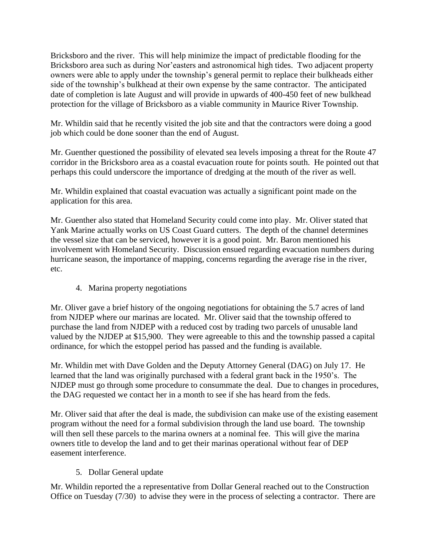Bricksboro and the river. This will help minimize the impact of predictable flooding for the Bricksboro area such as during Nor'easters and astronomical high tides. Two adjacent property owners were able to apply under the township's general permit to replace their bulkheads either side of the township's bulkhead at their own expense by the same contractor. The anticipated date of completion is late August and will provide in upwards of 400-450 feet of new bulkhead protection for the village of Bricksboro as a viable community in Maurice River Township.

Mr. Whildin said that he recently visited the job site and that the contractors were doing a good job which could be done sooner than the end of August.

Mr. Guenther questioned the possibility of elevated sea levels imposing a threat for the Route 47 corridor in the Bricksboro area as a coastal evacuation route for points south. He pointed out that perhaps this could underscore the importance of dredging at the mouth of the river as well.

Mr. Whildin explained that coastal evacuation was actually a significant point made on the application for this area.

Mr. Guenther also stated that Homeland Security could come into play. Mr. Oliver stated that Yank Marine actually works on US Coast Guard cutters. The depth of the channel determines the vessel size that can be serviced, however it is a good point. Mr. Baron mentioned his involvement with Homeland Security. Discussion ensued regarding evacuation numbers during hurricane season, the importance of mapping, concerns regarding the average rise in the river, etc.

4. Marina property negotiations

Mr. Oliver gave a brief history of the ongoing negotiations for obtaining the 5.7 acres of land from NJDEP where our marinas are located. Mr. Oliver said that the township offered to purchase the land from NJDEP with a reduced cost by trading two parcels of unusable land valued by the NJDEP at \$15,900. They were agreeable to this and the township passed a capital ordinance, for which the estoppel period has passed and the funding is available.

Mr. Whildin met with Dave Golden and the Deputy Attorney General (DAG) on July 17. He learned that the land was originally purchased with a federal grant back in the 1950's. The NJDEP must go through some procedure to consummate the deal. Due to changes in procedures, the DAG requested we contact her in a month to see if she has heard from the feds.

Mr. Oliver said that after the deal is made, the subdivision can make use of the existing easement program without the need for a formal subdivision through the land use board. The township will then sell these parcels to the marina owners at a nominal fee. This will give the marina owners title to develop the land and to get their marinas operational without fear of DEP easement interference.

#### 5. Dollar General update

Mr. Whildin reported the a representative from Dollar General reached out to the Construction Office on Tuesday (7/30) to advise they were in the process of selecting a contractor. There are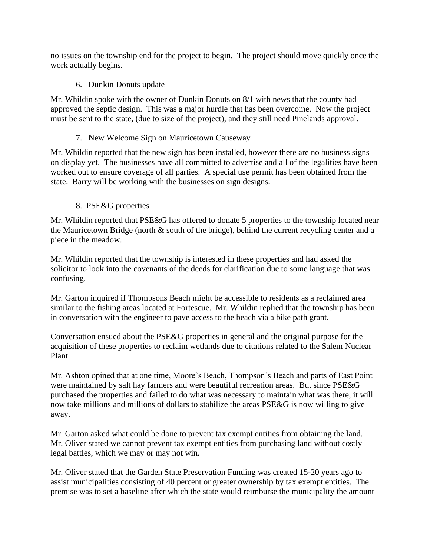no issues on the township end for the project to begin. The project should move quickly once the work actually begins.

6. Dunkin Donuts update

Mr. Whildin spoke with the owner of Dunkin Donuts on 8/1 with news that the county had approved the septic design. This was a major hurdle that has been overcome. Now the project must be sent to the state, (due to size of the project), and they still need Pinelands approval.

# 7. New Welcome Sign on Mauricetown Causeway

Mr. Whildin reported that the new sign has been installed, however there are no business signs on display yet. The businesses have all committed to advertise and all of the legalities have been worked out to ensure coverage of all parties. A special use permit has been obtained from the state. Barry will be working with the businesses on sign designs.

# 8. PSE&G properties

Mr. Whildin reported that PSE&G has offered to donate 5 properties to the township located near the Mauricetown Bridge (north & south of the bridge), behind the current recycling center and a piece in the meadow.

Mr. Whildin reported that the township is interested in these properties and had asked the solicitor to look into the covenants of the deeds for clarification due to some language that was confusing.

Mr. Garton inquired if Thompsons Beach might be accessible to residents as a reclaimed area similar to the fishing areas located at Fortescue. Mr. Whildin replied that the township has been in conversation with the engineer to pave access to the beach via a bike path grant.

Conversation ensued about the PSE&G properties in general and the original purpose for the acquisition of these properties to reclaim wetlands due to citations related to the Salem Nuclear Plant.

Mr. Ashton opined that at one time, Moore's Beach, Thompson's Beach and parts of East Point were maintained by salt hay farmers and were beautiful recreation areas. But since PSE&G purchased the properties and failed to do what was necessary to maintain what was there, it will now take millions and millions of dollars to stabilize the areas PSE&G is now willing to give away.

Mr. Garton asked what could be done to prevent tax exempt entities from obtaining the land. Mr. Oliver stated we cannot prevent tax exempt entities from purchasing land without costly legal battles, which we may or may not win.

Mr. Oliver stated that the Garden State Preservation Funding was created 15-20 years ago to assist municipalities consisting of 40 percent or greater ownership by tax exempt entities. The premise was to set a baseline after which the state would reimburse the municipality the amount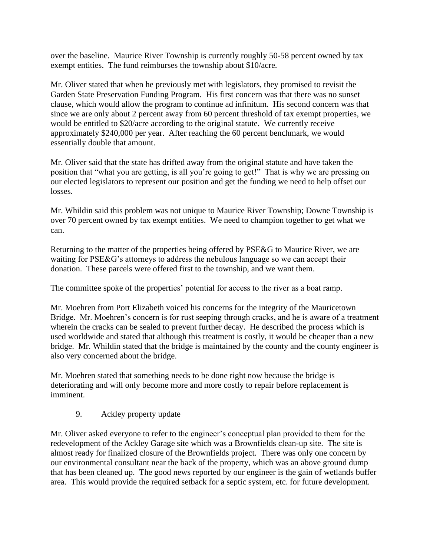over the baseline. Maurice River Township is currently roughly 50-58 percent owned by tax exempt entities. The fund reimburses the township about \$10/acre.

Mr. Oliver stated that when he previously met with legislators, they promised to revisit the Garden State Preservation Funding Program. His first concern was that there was no sunset clause, which would allow the program to continue ad infinitum. His second concern was that since we are only about 2 percent away from 60 percent threshold of tax exempt properties, we would be entitled to \$20/acre according to the original statute. We currently receive approximately \$240,000 per year. After reaching the 60 percent benchmark, we would essentially double that amount.

Mr. Oliver said that the state has drifted away from the original statute and have taken the position that "what you are getting, is all you're going to get!" That is why we are pressing on our elected legislators to represent our position and get the funding we need to help offset our losses.

Mr. Whildin said this problem was not unique to Maurice River Township; Downe Township is over 70 percent owned by tax exempt entities. We need to champion together to get what we can.

Returning to the matter of the properties being offered by PSE&G to Maurice River, we are waiting for PSE&G's attorneys to address the nebulous language so we can accept their donation. These parcels were offered first to the township, and we want them.

The committee spoke of the properties' potential for access to the river as a boat ramp.

Mr. Moehren from Port Elizabeth voiced his concerns for the integrity of the Mauricetown Bridge. Mr. Moehren's concern is for rust seeping through cracks, and he is aware of a treatment wherein the cracks can be sealed to prevent further decay. He described the process which is used worldwide and stated that although this treatment is costly, it would be cheaper than a new bridge. Mr. Whildin stated that the bridge is maintained by the county and the county engineer is also very concerned about the bridge.

Mr. Moehren stated that something needs to be done right now because the bridge is deteriorating and will only become more and more costly to repair before replacement is imminent.

9. Ackley property update

Mr. Oliver asked everyone to refer to the engineer's conceptual plan provided to them for the redevelopment of the Ackley Garage site which was a Brownfields clean-up site. The site is almost ready for finalized closure of the Brownfields project. There was only one concern by our environmental consultant near the back of the property, which was an above ground dump that has been cleaned up. The good news reported by our engineer is the gain of wetlands buffer area. This would provide the required setback for a septic system, etc. for future development.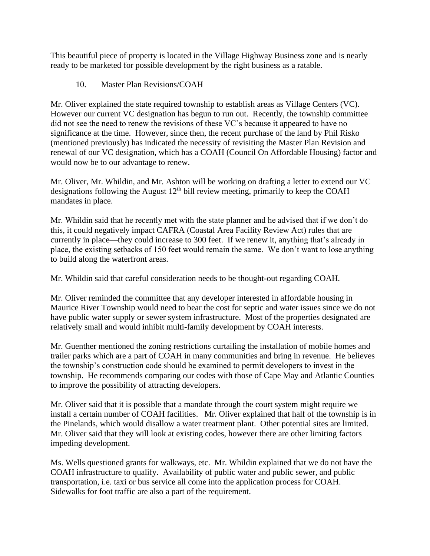This beautiful piece of property is located in the Village Highway Business zone and is nearly ready to be marketed for possible development by the right business as a ratable.

10. Master Plan Revisions/COAH

Mr. Oliver explained the state required township to establish areas as Village Centers (VC). However our current VC designation has begun to run out. Recently, the township committee did not see the need to renew the revisions of these VC's because it appeared to have no significance at the time. However, since then, the recent purchase of the land by Phil Risko (mentioned previously) has indicated the necessity of revisiting the Master Plan Revision and renewal of our VC designation, which has a COAH (Council On Affordable Housing) factor and would now be to our advantage to renew.

Mr. Oliver, Mr. Whildin, and Mr. Ashton will be working on drafting a letter to extend our VC designations following the August  $12<sup>th</sup>$  bill review meeting, primarily to keep the COAH mandates in place.

Mr. Whildin said that he recently met with the state planner and he advised that if we don't do this, it could negatively impact CAFRA (Coastal Area Facility Review Act) rules that are currently in place—they could increase to 300 feet. If we renew it, anything that's already in place, the existing setbacks of 150 feet would remain the same. We don't want to lose anything to build along the waterfront areas.

Mr. Whildin said that careful consideration needs to be thought-out regarding COAH.

Mr. Oliver reminded the committee that any developer interested in affordable housing in Maurice River Township would need to bear the cost for septic and water issues since we do not have public water supply or sewer system infrastructure. Most of the properties designated are relatively small and would inhibit multi-family development by COAH interests.

Mr. Guenther mentioned the zoning restrictions curtailing the installation of mobile homes and trailer parks which are a part of COAH in many communities and bring in revenue. He believes the township's construction code should be examined to permit developers to invest in the township. He recommends comparing our codes with those of Cape May and Atlantic Counties to improve the possibility of attracting developers.

Mr. Oliver said that it is possible that a mandate through the court system might require we install a certain number of COAH facilities. Mr. Oliver explained that half of the township is in the Pinelands, which would disallow a water treatment plant. Other potential sites are limited. Mr. Oliver said that they will look at existing codes, however there are other limiting factors impeding development.

Ms. Wells questioned grants for walkways, etc. Mr. Whildin explained that we do not have the COAH infrastructure to qualify. Availability of public water and public sewer, and public transportation, i.e. taxi or bus service all come into the application process for COAH. Sidewalks for foot traffic are also a part of the requirement.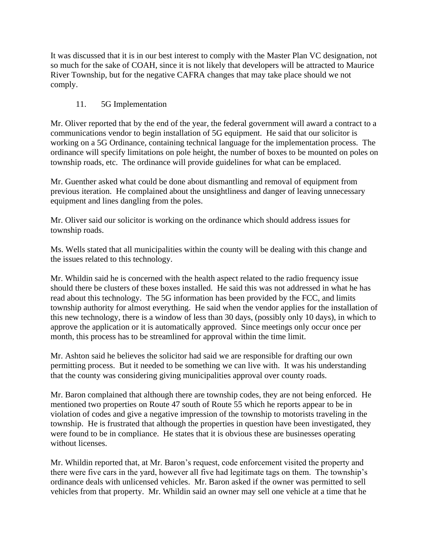It was discussed that it is in our best interest to comply with the Master Plan VC designation, not so much for the sake of COAH, since it is not likely that developers will be attracted to Maurice River Township, but for the negative CAFRA changes that may take place should we not comply.

# 11. 5G Implementation

Mr. Oliver reported that by the end of the year, the federal government will award a contract to a communications vendor to begin installation of 5G equipment. He said that our solicitor is working on a 5G Ordinance, containing technical language for the implementation process. The ordinance will specify limitations on pole height, the number of boxes to be mounted on poles on township roads, etc. The ordinance will provide guidelines for what can be emplaced.

Mr. Guenther asked what could be done about dismantling and removal of equipment from previous iteration. He complained about the unsightliness and danger of leaving unnecessary equipment and lines dangling from the poles.

Mr. Oliver said our solicitor is working on the ordinance which should address issues for township roads.

Ms. Wells stated that all municipalities within the county will be dealing with this change and the issues related to this technology.

Mr. Whildin said he is concerned with the health aspect related to the radio frequency issue should there be clusters of these boxes installed. He said this was not addressed in what he has read about this technology. The 5G information has been provided by the FCC, and limits township authority for almost everything. He said when the vendor applies for the installation of this new technology, there is a window of less than 30 days, (possibly only 10 days), in which to approve the application or it is automatically approved. Since meetings only occur once per month, this process has to be streamlined for approval within the time limit.

Mr. Ashton said he believes the solicitor had said we are responsible for drafting our own permitting process. But it needed to be something we can live with. It was his understanding that the county was considering giving municipalities approval over county roads.

Mr. Baron complained that although there are township codes, they are not being enforced. He mentioned two properties on Route 47 south of Route 55 which he reports appear to be in violation of codes and give a negative impression of the township to motorists traveling in the township. He is frustrated that although the properties in question have been investigated, they were found to be in compliance. He states that it is obvious these are businesses operating without licenses.

Mr. Whildin reported that, at Mr. Baron's request, code enforcement visited the property and there were five cars in the yard, however all five had legitimate tags on them. The township's ordinance deals with unlicensed vehicles. Mr. Baron asked if the owner was permitted to sell vehicles from that property. Mr. Whildin said an owner may sell one vehicle at a time that he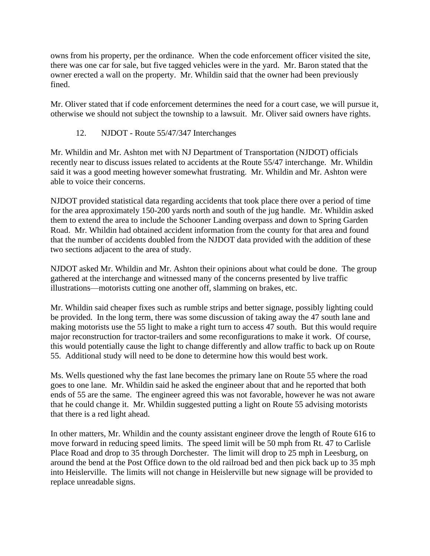owns from his property, per the ordinance. When the code enforcement officer visited the site, there was one car for sale, but five tagged vehicles were in the yard. Mr. Baron stated that the owner erected a wall on the property. Mr. Whildin said that the owner had been previously fined.

Mr. Oliver stated that if code enforcement determines the need for a court case, we will pursue it, otherwise we should not subject the township to a lawsuit. Mr. Oliver said owners have rights.

#### 12. NJDOT - Route 55/47/347 Interchanges

Mr. Whildin and Mr. Ashton met with NJ Department of Transportation (NJDOT) officials recently near to discuss issues related to accidents at the Route 55/47 interchange. Mr. Whildin said it was a good meeting however somewhat frustrating. Mr. Whildin and Mr. Ashton were able to voice their concerns.

NJDOT provided statistical data regarding accidents that took place there over a period of time for the area approximately 150-200 yards north and south of the jug handle. Mr. Whildin asked them to extend the area to include the Schooner Landing overpass and down to Spring Garden Road. Mr. Whildin had obtained accident information from the county for that area and found that the number of accidents doubled from the NJDOT data provided with the addition of these two sections adjacent to the area of study.

NJDOT asked Mr. Whildin and Mr. Ashton their opinions about what could be done. The group gathered at the interchange and witnessed many of the concerns presented by live traffic illustrations—motorists cutting one another off, slamming on brakes, etc.

Mr. Whildin said cheaper fixes such as rumble strips and better signage, possibly lighting could be provided. In the long term, there was some discussion of taking away the 47 south lane and making motorists use the 55 light to make a right turn to access 47 south. But this would require major reconstruction for tractor-trailers and some reconfigurations to make it work. Of course, this would potentially cause the light to change differently and allow traffic to back up on Route 55. Additional study will need to be done to determine how this would best work.

Ms. Wells questioned why the fast lane becomes the primary lane on Route 55 where the road goes to one lane. Mr. Whildin said he asked the engineer about that and he reported that both ends of 55 are the same. The engineer agreed this was not favorable, however he was not aware that he could change it. Mr. Whildin suggested putting a light on Route 55 advising motorists that there is a red light ahead.

In other matters, Mr. Whildin and the county assistant engineer drove the length of Route 616 to move forward in reducing speed limits. The speed limit will be 50 mph from Rt. 47 to Carlisle Place Road and drop to 35 through Dorchester. The limit will drop to 25 mph in Leesburg, on around the bend at the Post Office down to the old railroad bed and then pick back up to 35 mph into Heislerville. The limits will not change in Heislerville but new signage will be provided to replace unreadable signs.